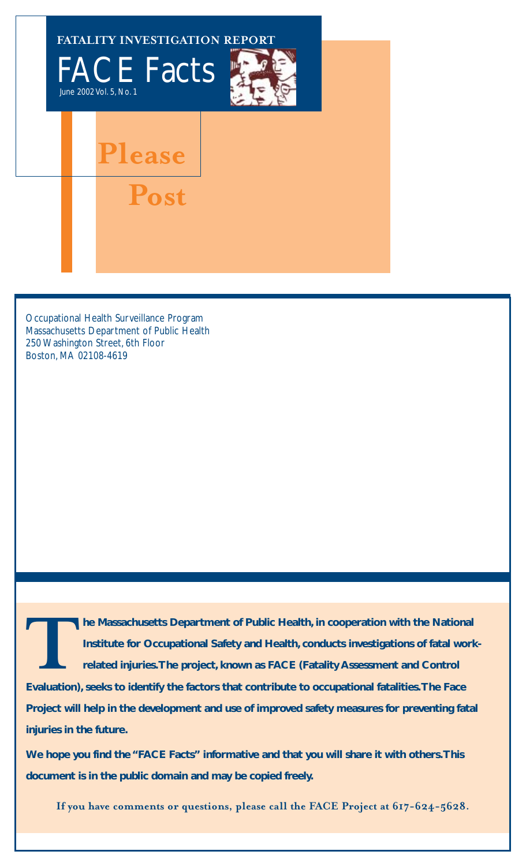

Occupational Health Surveillance Program Massachusetts Department of Public Health 250 Washington Street, 6th Floor Boston, MA 02108-4619

**TARRY INTERNATION IN THE MASSACHUSETS DEPARTMENT OF PUblic Health, in cooperation with the National<br>Institute for Occupational Safety and Health, conducts investigations of fatal worl<br>related injuries. The project, known Institute for Occupational Safety and Health, conducts investigations of fatal workrelated injuries.The project, known as FACE (Fatality Assessment and Control**

**Evaluation), seeks to identify the factors that contribute to occupational fatalities.The Face Project will help in the development and use of improved safety measures for preventing fatal injuries in the future.**

**We hope you find the "FACE Facts" informative and that you will share it with others.This document is in the public domain and may be copied freely.**

**If you have comments or questions, please call the FACE Project at 617-624-5628.**